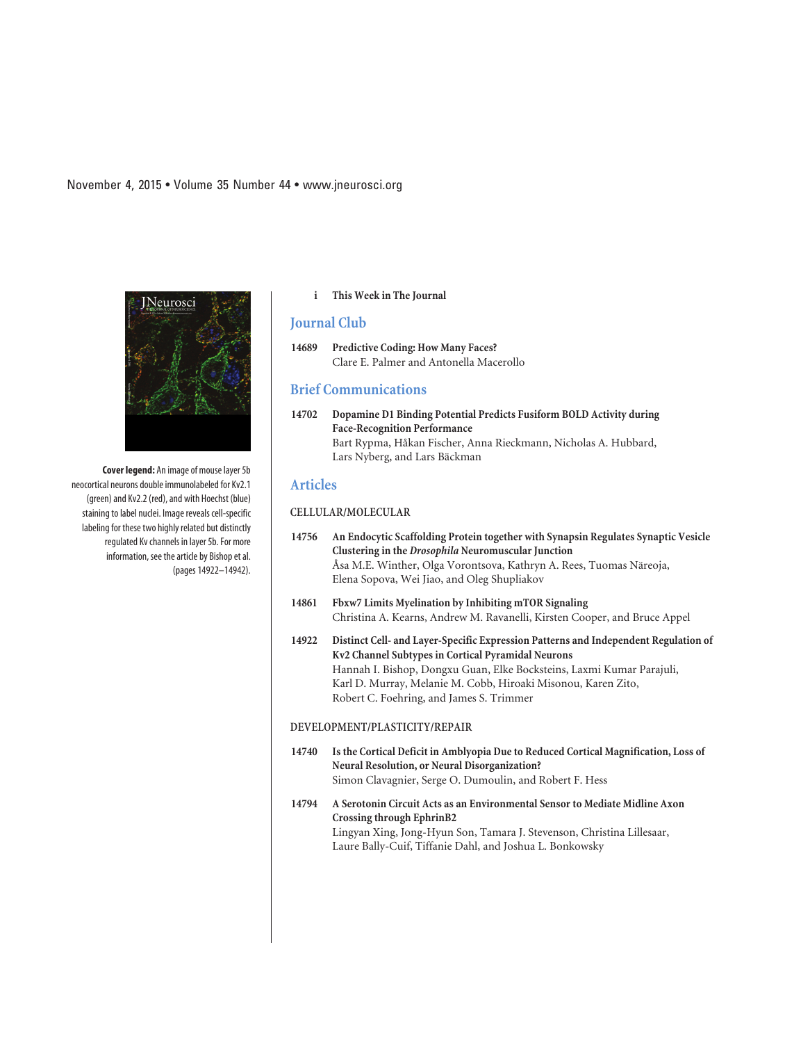**Cover legend:** An image of mouse layer 5b neocortical neurons double immunolabeled for Kv2.1 (green) and Kv2.2 (red), and with Hoechst (blue) staining to label nuclei. Image reveals cell-specific labeling for these two highly related but distinctly regulated Kv channels in layer 5b. For more information, see the article by Bishop et al. (pages 14922–14942).

#### **i This Week in The Journal**

# **Journal Club**

## **14689 Predictive Coding: How Many Faces?** Clare E. Palmer and Antonella Macerollo

#### **Brief Communications**

**14702 Dopamine D1 Binding Potential Predicts Fusiform BOLD Activity during Face-Recognition Performance** Bart Rypma, Håkan Fischer, Anna Rieckmann, Nicholas A. Hubbard, Lars Nyberg, and Lars Bäckman

# **Articles**

## **CELLULAR/MOLECULAR**

- **14756 An Endocytic Scaffolding Protein together with Synapsin Regulates Synaptic Vesicle Clustering in the** *Drosophila* **Neuromuscular Junction** Åsa M.E. Winther, Olga Vorontsova, Kathryn A. Rees, Tuomas Näreoja, Elena Sopova, Wei Jiao, and Oleg Shupliakov
- **14861 Fbxw7 Limits Myelination by Inhibiting mTOR Signaling** Christina A. Kearns, Andrew M. Ravanelli, Kirsten Cooper, and Bruce Appel
- **14922 Distinct Cell- and Layer-Specific Expression Patterns and Independent Regulation of Kv2 Channel Subtypes in Cortical Pyramidal Neurons** Hannah I. Bishop, Dongxu Guan, Elke Bocksteins, Laxmi Kumar Parajuli, Karl D. Murray, Melanie M. Cobb, Hiroaki Misonou, Karen Zito, Robert C. Foehring, and James S. Trimmer

### **DEVELOPMENT/PLASTICITY/REPAIR**

- **14740 Is the Cortical Deficit in Amblyopia Due to Reduced Cortical Magnification, Loss of Neural Resolution, or Neural Disorganization?** Simon Clavagnier, Serge O. Dumoulin, and Robert F. Hess
- **14794 A Serotonin Circuit Acts as an Environmental Sensor to Mediate Midline Axon Crossing through EphrinB2** Lingyan Xing, Jong-Hyun Son, Tamara J. Stevenson, Christina Lillesaar, Laure Bally-Cuif, Tiffanie Dahl, and Joshua L. Bonkowsky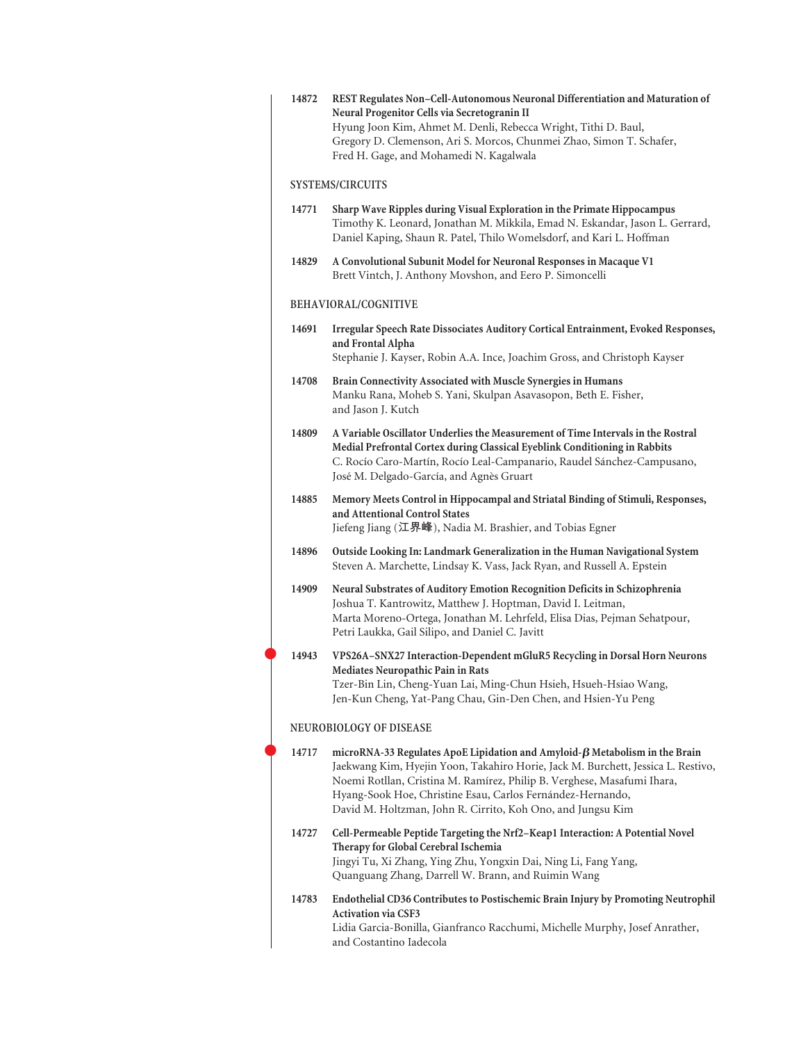| 14872                   | REST Regulates Non-Cell-Autonomous Neuronal Differentiation and Maturation of<br>Neural Progenitor Cells via Secretogranin II<br>Hyung Joon Kim, Ahmet M. Denli, Rebecca Wright, Tithi D. Baul,<br>Gregory D. Clemenson, Ari S. Morcos, Chunmei Zhao, Simon T. Schafer,<br>Fred H. Gage, and Mohamedi N. Kagalwala                                                             |  |
|-------------------------|--------------------------------------------------------------------------------------------------------------------------------------------------------------------------------------------------------------------------------------------------------------------------------------------------------------------------------------------------------------------------------|--|
| <b>SYSTEMS/CIRCUITS</b> |                                                                                                                                                                                                                                                                                                                                                                                |  |
| 14771                   | Sharp Wave Ripples during Visual Exploration in the Primate Hippocampus<br>Timothy K. Leonard, Jonathan M. Mikkila, Emad N. Eskandar, Jason L. Gerrard,<br>Daniel Kaping, Shaun R. Patel, Thilo Womelsdorf, and Kari L. Hoffman                                                                                                                                                |  |
| 14829                   | A Convolutional Subunit Model for Neuronal Responses in Macaque V1<br>Brett Vintch, J. Anthony Movshon, and Eero P. Simoncelli                                                                                                                                                                                                                                                 |  |
| BEHAVIORAL/COGNITIVE    |                                                                                                                                                                                                                                                                                                                                                                                |  |
| 14691                   | Irregular Speech Rate Dissociates Auditory Cortical Entrainment, Evoked Responses,<br>and Frontal Alpha<br>Stephanie J. Kayser, Robin A.A. Ince, Joachim Gross, and Christoph Kayser                                                                                                                                                                                           |  |
| 14708                   | Brain Connectivity Associated with Muscle Synergies in Humans<br>Manku Rana, Moheb S. Yani, Skulpan Asavasopon, Beth E. Fisher,<br>and Jason J. Kutch                                                                                                                                                                                                                          |  |
| 14809                   | A Variable Oscillator Underlies the Measurement of Time Intervals in the Rostral<br>Medial Prefrontal Cortex during Classical Eyeblink Conditioning in Rabbits<br>C. Rocío Caro-Martín, Rocío Leal-Campanario, Raudel Sánchez-Campusano,<br>José M. Delgado-García, and Agnès Gruart                                                                                           |  |
| 14885                   | Memory Meets Control in Hippocampal and Striatal Binding of Stimuli, Responses,<br>and Attentional Control States<br>Jiefeng Jiang (江界峰), Nadia M. Brashier, and Tobias Egner                                                                                                                                                                                                  |  |
| 14896                   | Outside Looking In: Landmark Generalization in the Human Navigational System<br>Steven A. Marchette, Lindsay K. Vass, Jack Ryan, and Russell A. Epstein                                                                                                                                                                                                                        |  |
| 14909                   | Neural Substrates of Auditory Emotion Recognition Deficits in Schizophrenia<br>Joshua T. Kantrowitz, Matthew J. Hoptman, David I. Leitman,<br>Marta Moreno-Ortega, Jonathan M. Lehrfeld, Elisa Dias, Pejman Sehatpour,<br>Petri Laukka, Gail Silipo, and Daniel C. Javitt                                                                                                      |  |
| 14943                   | VPS26A-SNX27 Interaction-Dependent mGluR5 Recycling in Dorsal Horn Neurons<br><b>Mediates Neuropathic Pain in Rats</b><br>Tzer-Bin Lin, Cheng-Yuan Lai, Ming-Chun Hsieh, Hsueh-Hsiao Wang,<br>Jen-Kun Cheng, Yat-Pang Chau, Gin-Den Chen, and Hsien-Yu Peng                                                                                                                    |  |
|                         | NEUROBIOLOGY OF DISEASE                                                                                                                                                                                                                                                                                                                                                        |  |
| 14717                   | microRNA-33 Regulates ApoE Lipidation and Amyloid- $\beta$ Metabolism in the Brain<br>Jaekwang Kim, Hyejin Yoon, Takahiro Horie, Jack M. Burchett, Jessica L. Restivo,<br>Noemi Rotllan, Cristina M. Ramírez, Philip B. Verghese, Masafumi Ihara,<br>Hyang-Sook Hoe, Christine Esau, Carlos Fernández-Hernando,<br>David M. Holtzman, John R. Cirrito, Koh Ono, and Jungsu Kim |  |
| 14727                   | Cell-Permeable Peptide Targeting the Nrf2-Keap1 Interaction: A Potential Novel<br>Therapy for Global Cerebral Ischemia<br>Jingyi Tu, Xi Zhang, Ying Zhu, Yongxin Dai, Ning Li, Fang Yang,<br>Quanguang Zhang, Darrell W. Brann, and Ruimin Wang                                                                                                                                |  |
| 14783                   | Endothelial CD36 Contributes to Postischemic Brain Injury by Promoting Neutrophil<br><b>Activation via CSF3</b><br>Lidia Garcia-Bonilla, Gianfranco Racchumi, Michelle Murphy, Josef Anrather,<br>and Costantino Iadecola                                                                                                                                                      |  |

 $\bullet$ 

 $\bullet$